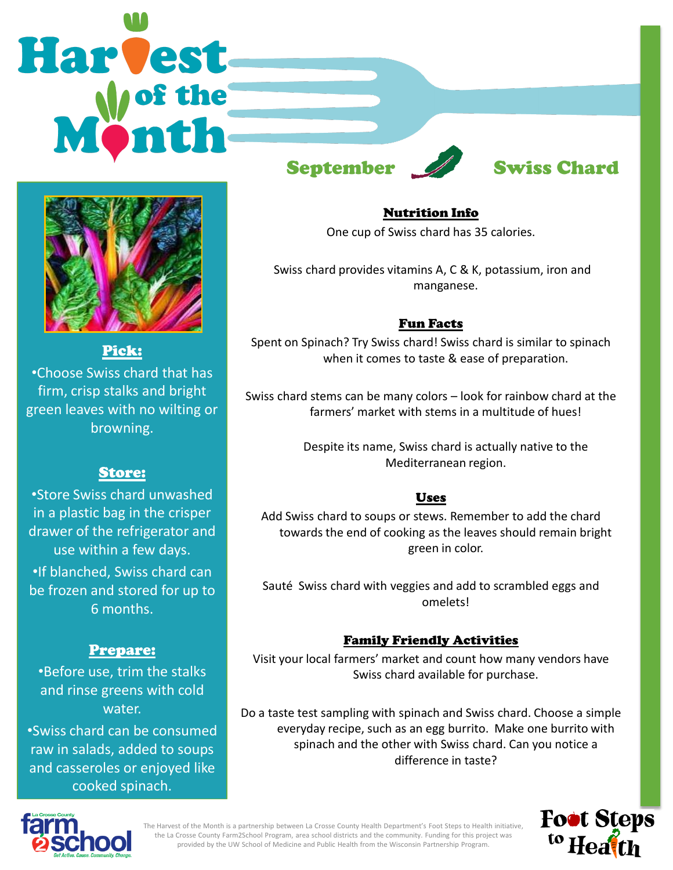## **Harvest** September Swiss Chard



Pick: •Choose Swiss chard that has firm, crisp stalks and bright green leaves with no wilting or browning.

#### Store:

•Store Swiss chard unwashed in a plastic bag in the crisper drawer of the refrigerator and use within a few days. •If blanched, Swiss chard can be frozen and stored for up to 6 months.

#### Prepare:

•Before use, trim the stalks and rinse greens with cold water.

•Swiss chard can be consumed raw in salads, added to soups and casseroles or enjoyed like cooked spinach.

#### Nutrition Info

One cup of Swiss chard has 35 calories.

Swiss chard provides vitamins A, C & K, potassium, iron and manganese.

#### Fun Facts

Spent on Spinach? Try Swiss chard! Swiss chard is similar to spinach when it comes to taste & ease of preparation.

Swiss chard stems can be many colors – look for rainbow chard at the farmers' market with stems in a multitude of hues!

> Despite its name, Swiss chard is actually native to the Mediterranean region.

#### Uses

Add Swiss chard to soups or stews. Remember to add the chard towards the end of cooking as the leaves should remain bright green in color.

Sauté Swiss chard with veggies and add to scrambled eggs and omelets!

### Family Friendly Activities

Visit your local farmers' market and count how many vendors have Swiss chard available for purchase.

Do a taste test sampling with spinach and Swiss chard. Choose a simple everyday recipe, such as an egg burrito. Make one burrito with spinach and the other with Swiss chard. Can you notice a difference in taste?



**Foot Steps** <sup>to</sup> Heath

The Harvest of the Month is a partnership between La Crosse County Health Department's Foot Steps to Health initiative, the La Crosse County Farm2School Program, area school districts and the community. Funding for this project was provided by the UW School of Medicine and Public Health from the Wisconsin Partnership Program.